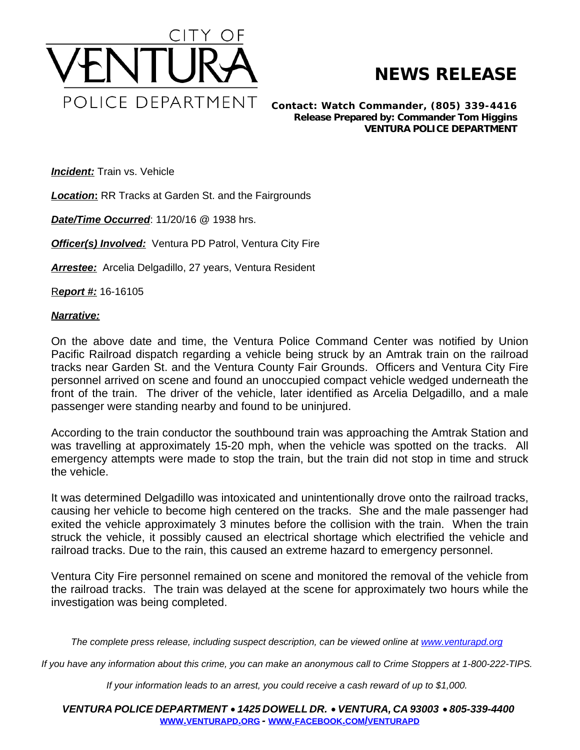

## **NEWS RELEASE**

*Contact: Watch Commander, (805) 339-4416 Release Prepared by: Commander Tom Higgins* **VENTURA POLICE DEPARTMENT**

**Incident:** Train vs. Vehicle

*Location***:** RR Tracks at Garden St. and the Fairgrounds

*Date/Time Occurred*: 11/20/16 @ 1938 hrs.

**Officer(s) Involved:** Ventura PD Patrol, Ventura City Fire

*Arrestee:* Arcelia Delgadillo, 27 years, Ventura Resident

R*eport #:* 16-16105

## *Narrative:*

On the above date and time, the Ventura Police Command Center was notified by Union Pacific Railroad dispatch regarding a vehicle being struck by an Amtrak train on the railroad tracks near Garden St. and the Ventura County Fair Grounds. Officers and Ventura City Fire personnel arrived on scene and found an unoccupied compact vehicle wedged underneath the front of the train. The driver of the vehicle, later identified as Arcelia Delgadillo, and a male passenger were standing nearby and found to be uninjured.

According to the train conductor the southbound train was approaching the Amtrak Station and was travelling at approximately 15-20 mph, when the vehicle was spotted on the tracks. All emergency attempts were made to stop the train, but the train did not stop in time and struck the vehicle.

It was determined Delgadillo was intoxicated and unintentionally drove onto the railroad tracks, causing her vehicle to become high centered on the tracks. She and the male passenger had exited the vehicle approximately 3 minutes before the collision with the train. When the train struck the vehicle, it possibly caused an electrical shortage which electrified the vehicle and railroad tracks. Due to the rain, this caused an extreme hazard to emergency personnel.

Ventura City Fire personnel remained on scene and monitored the removal of the vehicle from the railroad tracks. The train was delayed at the scene for approximately two hours while the investigation was being completed.

The complete press release, including suspect description, can be viewed online at [www.venturapd.org](http://www.venturapd.org)

*If you have any information about this crime, you can make an anonymous call to Crime Stoppers at 1-800-222-TIPS.*

*If your information leads to an arrest, you could receive a cash reward of up to \$1,000.*

*VENTURA POLICE DEPARTMENT* · *1425 DOWELL DR.* · *VENTURA, CA 93003* · *805-339-4400* **WWW.[VENTURAPD](http://www.venturapd.org).ORG** *-* **WWW.FACEBOOK.COM/[VENTURAPD](http://www.facebook.com/venturapd)**